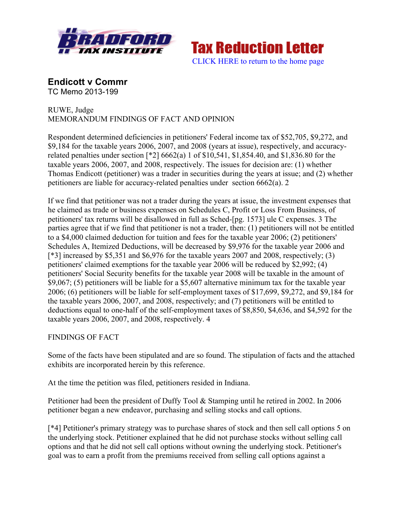



**Endicott v Commr** TC Memo 2013-199

# RUWE, Judge MEMORANDUM FINDINGS OF FACT AND OPINION

Respondent determined deficiencies in petitioners' Federal income tax of \$52,705, \$9,272, and \$9,184 for the taxable years 2006, 2007, and 2008 (years at issue), respectively, and accuracyrelated penalties under section [\*2] 6662(a) 1 of \$10,541, \$1,854.40, and \$1,836.80 for the taxable years 2006, 2007, and 2008, respectively. The issues for decision are: (1) whether Thomas Endicott (petitioner) was a trader in securities during the years at issue; and (2) whether petitioners are liable for accuracy-related penalties under section 6662(a). 2

If we find that petitioner was not a trader during the years at issue, the investment expenses that he claimed as trade or business expenses on Schedules C, Profit or Loss From Business, of petitioners' tax returns will be disallowed in full as Sched-[pg. 1573] ule C expenses. 3 The parties agree that if we find that petitioner is not a trader, then: (1) petitioners will not be entitled to a \$4,000 claimed deduction for tuition and fees for the taxable year 2006; (2) petitioners' Schedules A, Itemized Deductions, will be decreased by \$9,976 for the taxable year 2006 and [\*3] increased by \$5,351 and \$6,976 for the taxable years 2007 and 2008, respectively; (3) petitioners' claimed exemptions for the taxable year 2006 will be reduced by \$2,992; (4) petitioners' Social Security benefits for the taxable year 2008 will be taxable in the amount of \$9,067; (5) petitioners will be liable for a \$5,607 alternative minimum tax for the taxable year 2006; (6) petitioners will be liable for self-employment taxes of \$17,699, \$9,272, and \$9,184 for the taxable years 2006, 2007, and 2008, respectively; and (7) petitioners will be entitled to deductions equal to one-half of the self-employment taxes of \$8,850, \$4,636, and \$4,592 for the taxable years 2006, 2007, and 2008, respectively. 4

# FINDINGS OF FACT

Some of the facts have been stipulated and are so found. The stipulation of facts and the attached exhibits are incorporated herein by this reference.

At the time the petition was filed, petitioners resided in Indiana.

Petitioner had been the president of Duffy Tool & Stamping until he retired in 2002. In 2006 petitioner began a new endeavor, purchasing and selling stocks and call options.

[\*4] Petitioner's primary strategy was to purchase shares of stock and then sell call options 5 on the underlying stock. Petitioner explained that he did not purchase stocks without selling call options and that he did not sell call options without owning the underlying stock. Petitioner's goal was to earn a profit from the premiums received from selling call options against a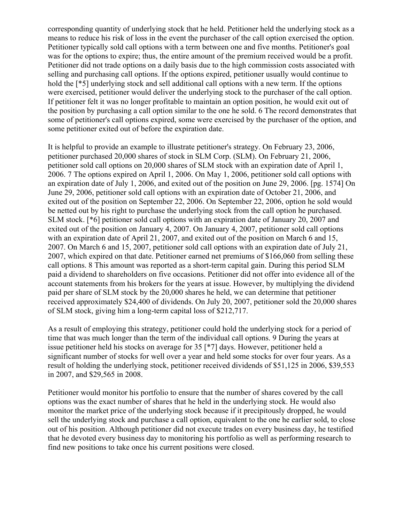corresponding quantity of underlying stock that he held. Petitioner held the underlying stock as a means to reduce his risk of loss in the event the purchaser of the call option exercised the option. Petitioner typically sold call options with a term between one and five months. Petitioner's goal was for the options to expire; thus, the entire amount of the premium received would be a profit. Petitioner did not trade options on a daily basis due to the high commission costs associated with selling and purchasing call options. If the options expired, petitioner usually would continue to hold the [ $*5$ ] underlying stock and sell additional call options with a new term. If the options were exercised, petitioner would deliver the underlying stock to the purchaser of the call option. If petitioner felt it was no longer profitable to maintain an option position, he would exit out of the position by purchasing a call option similar to the one he sold. 6 The record demonstrates that some of petitioner's call options expired, some were exercised by the purchaser of the option, and some petitioner exited out of before the expiration date.

It is helpful to provide an example to illustrate petitioner's strategy. On February 23, 2006, petitioner purchased 20,000 shares of stock in SLM Corp. (SLM). On February 21, 2006, petitioner sold call options on 20,000 shares of SLM stock with an expiration date of April 1, 2006. 7 The options expired on April 1, 2006. On May 1, 2006, petitioner sold call options with an expiration date of July 1, 2006, and exited out of the position on June 29, 2006. [pg. 1574] On June 29, 2006, petitioner sold call options with an expiration date of October 21, 2006, and exited out of the position on September 22, 2006. On September 22, 2006, option he sold would be netted out by his right to purchase the underlying stock from the call option he purchased. SLM stock. [\*6] petitioner sold call options with an expiration date of January 20, 2007 and exited out of the position on January 4, 2007. On January 4, 2007, petitioner sold call options with an expiration date of April 21, 2007, and exited out of the position on March 6 and 15, 2007. On March 6 and 15, 2007, petitioner sold call options with an expiration date of July 21, 2007, which expired on that date. Petitioner earned net premiums of \$166,060 from selling these call options. 8 This amount was reported as a short-term capital gain. During this period SLM paid a dividend to shareholders on five occasions. Petitioner did not offer into evidence all of the account statements from his brokers for the years at issue. However, by multiplying the dividend paid per share of SLM stock by the 20,000 shares he held, we can determine that petitioner received approximately \$24,400 of dividends. On July 20, 2007, petitioner sold the 20,000 shares of SLM stock, giving him a long-term capital loss of \$212,717.

As a result of employing this strategy, petitioner could hold the underlying stock for a period of time that was much longer than the term of the individual call options. 9 During the years at issue petitioner held his stocks on average for 35 [\*7] days. However, petitioner held a significant number of stocks for well over a year and held some stocks for over four years. As a result of holding the underlying stock, petitioner received dividends of \$51,125 in 2006, \$39,553 in 2007, and \$29,565 in 2008.

Petitioner would monitor his portfolio to ensure that the number of shares covered by the call options was the exact number of shares that he held in the underlying stock. He would also monitor the market price of the underlying stock because if it precipitously dropped, he would sell the underlying stock and purchase a call option, equivalent to the one he earlier sold, to close out of his position. Although petitioner did not execute trades on every business day, he testified that he devoted every business day to monitoring his portfolio as well as performing research to find new positions to take once his current positions were closed.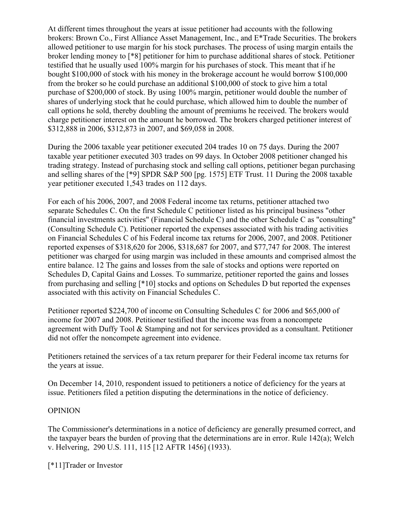At different times throughout the years at issue petitioner had accounts with the following brokers: Brown Co., First Alliance Asset Management, Inc., and E\*Trade Securities. The brokers allowed petitioner to use margin for his stock purchases. The process of using margin entails the broker lending money to [\*8] petitioner for him to purchase additional shares of stock. Petitioner testified that he usually used 100% margin for his purchases of stock. This meant that if he bought \$100,000 of stock with his money in the brokerage account he would borrow \$100,000 from the broker so he could purchase an additional \$100,000 of stock to give him a total purchase of \$200,000 of stock. By using 100% margin, petitioner would double the number of shares of underlying stock that he could purchase, which allowed him to double the number of call options he sold, thereby doubling the amount of premiums he received. The brokers would charge petitioner interest on the amount he borrowed. The brokers charged petitioner interest of \$312,888 in 2006, \$312,873 in 2007, and \$69,058 in 2008.

During the 2006 taxable year petitioner executed 204 trades 10 on 75 days. During the 2007 taxable year petitioner executed 303 trades on 99 days. In October 2008 petitioner changed his trading strategy. Instead of purchasing stock and selling call options, petitioner began purchasing and selling shares of the [\*9] SPDR S&P 500 [pg. 1575] ETF Trust. 11 During the 2008 taxable year petitioner executed 1,543 trades on 112 days.

For each of his 2006, 2007, and 2008 Federal income tax returns, petitioner attached two separate Schedules C. On the first Schedule C petitioner listed as his principal business "other financial investments activities" (Financial Schedule C) and the other Schedule C as "consulting" (Consulting Schedule C). Petitioner reported the expenses associated with his trading activities on Financial Schedules C of his Federal income tax returns for 2006, 2007, and 2008. Petitioner reported expenses of \$318,620 for 2006, \$318,687 for 2007, and \$77,747 for 2008. The interest petitioner was charged for using margin was included in these amounts and comprised almost the entire balance. 12 The gains and losses from the sale of stocks and options were reported on Schedules D, Capital Gains and Losses. To summarize, petitioner reported the gains and losses from purchasing and selling [\*10] stocks and options on Schedules D but reported the expenses associated with this activity on Financial Schedules C.

Petitioner reported \$224,700 of income on Consulting Schedules C for 2006 and \$65,000 of income for 2007 and 2008. Petitioner testified that the income was from a noncompete agreement with Duffy Tool & Stamping and not for services provided as a consultant. Petitioner did not offer the noncompete agreement into evidence.

Petitioners retained the services of a tax return preparer for their Federal income tax returns for the years at issue.

On December 14, 2010, respondent issued to petitioners a notice of deficiency for the years at issue. Petitioners filed a petition disputing the determinations in the notice of deficiency.

# OPINION

The Commissioner's determinations in a notice of deficiency are generally presumed correct, and the taxpayer bears the burden of proving that the determinations are in error. Rule 142(a); Welch v. Helvering, 290 U.S. 111, 115 [12 AFTR 1456] (1933).

[\*11]Trader or Investor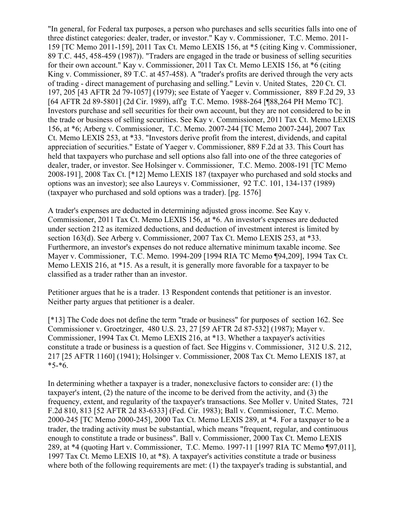"In general, for Federal tax purposes, a person who purchases and sells securities falls into one of three distinct categories: dealer, trader, or investor." Kay v. Commissioner, T.C. Memo. 2011- 159 [TC Memo 2011-159], 2011 Tax Ct. Memo LEXIS 156, at \*5 (citing King v. Commissioner, 89 T.C. 445, 458-459 (1987)). "Traders are engaged in the trade or business of selling securities for their own account." Kay v. Commissioner, 2011 Tax Ct. Memo LEXIS 156, at \*6 (citing King v. Commissioner, 89 T.C. at 457-458). A "trader's profits are derived through the very acts of trading - direct management of purchasing and selling." Levin v. United States, 220 Ct. Cl. 197, 205 [43 AFTR 2d 79-1057] (1979); see Estate of Yaeger v. Commissioner, 889 F.2d 29, 33 [64 AFTR 2d 89-5801] (2d Cir. 1989), affg T.C. Memo. 1988-264 [¶88,264 PH Memo TC]. Investors purchase and sell securities for their own account, but they are not considered to be in the trade or business of selling securities. See Kay v. Commissioner, 2011 Tax Ct. Memo LEXIS 156, at \*6; Arberg v. Commissioner, T.C. Memo. 2007-244 [TC Memo 2007-244], 2007 Tax Ct. Memo LEXIS 253, at \*33. "Investors derive profit from the interest, dividends, and capital appreciation of securities." Estate of Yaeger v. Commissioner, 889 F.2d at 33. This Court has held that taxpayers who purchase and sell options also fall into one of the three categories of dealer, trader, or investor. See Holsinger v. Commissioner, T.C. Memo. 2008-191 [TC Memo 2008-191], 2008 Tax Ct. [\*12] Memo LEXIS 187 (taxpayer who purchased and sold stocks and options was an investor); see also Laureys v. Commissioner, 92 T.C. 101, 134-137 (1989) (taxpayer who purchased and sold options was a trader). [pg. 1576]

A trader's expenses are deducted in determining adjusted gross income. See Kay v. Commissioner, 2011 Tax Ct. Memo LEXIS 156, at \*6. An investor's expenses are deducted under section 212 as itemized deductions, and deduction of investment interest is limited by section 163(d). See Arberg v. Commissioner, 2007 Tax Ct. Memo LEXIS 253, at \*33. Furthermore, an investor's expenses do not reduce alternative minimum taxable income. See Mayer v. Commissioner, T.C. Memo. 1994-209 [1994 RIA TC Memo ¶94,209], 1994 Tax Ct. Memo LEXIS 216, at \*15. As a result, it is generally more favorable for a taxpayer to be classified as a trader rather than an investor.

Petitioner argues that he is a trader. 13 Respondent contends that petitioner is an investor. Neither party argues that petitioner is a dealer.

[\*13] The Code does not define the term "trade or business" for purposes of section 162. See Commissioner v. Groetzinger, 480 U.S. 23, 27 [59 AFTR 2d 87-532] (1987); Mayer v. Commissioner, 1994 Tax Ct. Memo LEXIS 216, at \*13. Whether a taxpayer's activities constitute a trade or business is a question of fact. See Higgins v. Commissioner, 312 U.S. 212, 217 [25 AFTR 1160] (1941); Holsinger v. Commissioner, 2008 Tax Ct. Memo LEXIS 187, at  $*5-*6.$ 

In determining whether a taxpayer is a trader, nonexclusive factors to consider are: (1) the taxpayer's intent, (2) the nature of the income to be derived from the activity, and (3) the frequency, extent, and regularity of the taxpayer's transactions. See Moller v. United States, 721 F.2d 810, 813 [52 AFTR 2d 83-6333] (Fed. Cir. 1983); Ball v. Commissioner, T.C. Memo. 2000-245 [TC Memo 2000-245], 2000 Tax Ct. Memo LEXIS 289, at \*4. For a taxpayer to be a trader, the trading activity must be substantial, which means "frequent, regular, and continuous enough to constitute a trade or business". Ball v. Commissioner, 2000 Tax Ct. Memo LEXIS 289, at \*4 (quoting Hart v. Commissioner, T.C. Memo. 1997-11 [1997 RIA TC Memo ¶97,011], 1997 Tax Ct. Memo LEXIS 10, at \*8). A taxpayer's activities constitute a trade or business where both of the following requirements are met: (1) the taxpayer's trading is substantial, and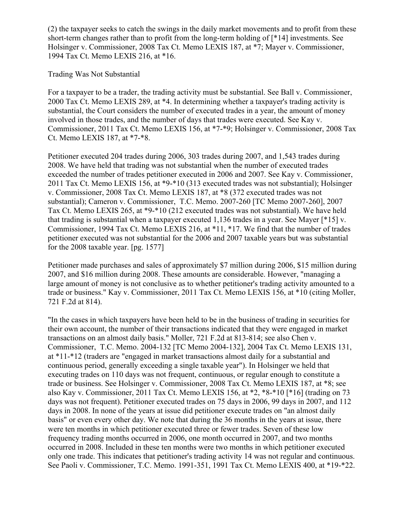(2) the taxpayer seeks to catch the swings in the daily market movements and to profit from these short-term changes rather than to profit from the long-term holding of [\*14] investments. See Holsinger v. Commissioner, 2008 Tax Ct. Memo LEXIS 187, at \*7; Mayer v. Commissioner, 1994 Tax Ct. Memo LEXIS 216, at \*16.

Trading Was Not Substantial

For a taxpayer to be a trader, the trading activity must be substantial. See Ball v. Commissioner, 2000 Tax Ct. Memo LEXIS 289, at \*4. In determining whether a taxpayer's trading activity is substantial, the Court considers the number of executed trades in a year, the amount of money involved in those trades, and the number of days that trades were executed. See Kay v. Commissioner, 2011 Tax Ct. Memo LEXIS 156, at \*7-\*9; Holsinger v. Commissioner, 2008 Tax Ct. Memo LEXIS 187, at \*7-\*8.

Petitioner executed 204 trades during 2006, 303 trades during 2007, and 1,543 trades during 2008. We have held that trading was not substantial when the number of executed trades exceeded the number of trades petitioner executed in 2006 and 2007. See Kay v. Commissioner, 2011 Tax Ct. Memo LEXIS 156, at \*9-\*10 (313 executed trades was not substantial); Holsinger v. Commissioner, 2008 Tax Ct. Memo LEXIS 187, at \*8 (372 executed trades was not substantial); Cameron v. Commissioner, T.C. Memo. 2007-260 [TC Memo 2007-260], 2007 Tax Ct. Memo LEXIS 265, at \*9-\*10 (212 executed trades was not substantial). We have held that trading is substantial when a taxpayer executed 1,136 trades in a year. See Mayer [\*15] v. Commissioner, 1994 Tax Ct. Memo LEXIS 216, at \*11, \*17. We find that the number of trades petitioner executed was not substantial for the 2006 and 2007 taxable years but was substantial for the 2008 taxable year. [pg. 1577]

Petitioner made purchases and sales of approximately \$7 million during 2006, \$15 million during 2007, and \$16 million during 2008. These amounts are considerable. However, "managing a large amount of money is not conclusive as to whether petitioner's trading activity amounted to a trade or business." Kay v. Commissioner, 2011 Tax Ct. Memo LEXIS 156, at \*10 (citing Moller, 721 F.2d at 814).

"In the cases in which taxpayers have been held to be in the business of trading in securities for their own account, the number of their transactions indicated that they were engaged in market transactions on an almost daily basis." Moller, 721 F.2d at 813-814; see also Chen v. Commissioner, T.C. Memo. 2004-132 [TC Memo 2004-132], 2004 Tax Ct. Memo LEXIS 131, at \*11-\*12 (traders are "engaged in market transactions almost daily for a substantial and continuous period, generally exceeding a single taxable year"). In Holsinger we held that executing trades on 110 days was not frequent, continuous, or regular enough to constitute a trade or business. See Holsinger v. Commissioner, 2008 Tax Ct. Memo LEXIS 187, at \*8; see also Kay v. Commissioner, 2011 Tax Ct. Memo LEXIS 156, at \*2, \*8-\*10 [\*16] (trading on 73 days was not frequent). Petitioner executed trades on 75 days in 2006, 99 days in 2007, and 112 days in 2008. In none of the years at issue did petitioner execute trades on "an almost daily basis" or even every other day. We note that during the 36 months in the years at issue, there were ten months in which petitioner executed three or fewer trades. Seven of these low frequency trading months occurred in 2006, one month occurred in 2007, and two months occurred in 2008. Included in these ten months were two months in which petitioner executed only one trade. This indicates that petitioner's trading activity 14 was not regular and continuous. See Paoli v. Commissioner, T.C. Memo. 1991-351, 1991 Tax Ct. Memo LEXIS 400, at \*19-\*22.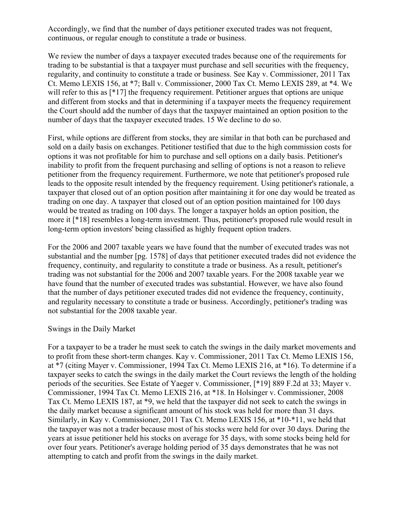Accordingly, we find that the number of days petitioner executed trades was not frequent, continuous, or regular enough to constitute a trade or business.

We review the number of days a taxpayer executed trades because one of the requirements for trading to be substantial is that a taxpayer must purchase and sell securities with the frequency, regularity, and continuity to constitute a trade or business. See Kay v. Commissioner, 2011 Tax Ct. Memo LEXIS 156, at \*7; Ball v. Commissioner, 2000 Tax Ct. Memo LEXIS 289, at \*4. We will refer to this as [\*17] the frequency requirement. Petitioner argues that options are unique and different from stocks and that in determining if a taxpayer meets the frequency requirement the Court should add the number of days that the taxpayer maintained an option position to the number of days that the taxpayer executed trades. 15 We decline to do so.

First, while options are different from stocks, they are similar in that both can be purchased and sold on a daily basis on exchanges. Petitioner testified that due to the high commission costs for options it was not profitable for him to purchase and sell options on a daily basis. Petitioner's inability to profit from the frequent purchasing and selling of options is not a reason to relieve petitioner from the frequency requirement. Furthermore, we note that petitioner's proposed rule leads to the opposite result intended by the frequency requirement. Using petitioner's rationale, a taxpayer that closed out of an option position after maintaining it for one day would be treated as trading on one day. A taxpayer that closed out of an option position maintained for 100 days would be treated as trading on 100 days. The longer a taxpayer holds an option position, the more it [\*18] resembles a long-term investment. Thus, petitioner's proposed rule would result in long-term option investors' being classified as highly frequent option traders.

For the 2006 and 2007 taxable years we have found that the number of executed trades was not substantial and the number [pg. 1578] of days that petitioner executed trades did not evidence the frequency, continuity, and regularity to constitute a trade or business. As a result, petitioner's trading was not substantial for the 2006 and 2007 taxable years. For the 2008 taxable year we have found that the number of executed trades was substantial. However, we have also found that the number of days petitioner executed trades did not evidence the frequency, continuity, and regularity necessary to constitute a trade or business. Accordingly, petitioner's trading was not substantial for the 2008 taxable year.

#### Swings in the Daily Market

For a taxpayer to be a trader he must seek to catch the swings in the daily market movements and to profit from these short-term changes. Kay v. Commissioner, 2011 Tax Ct. Memo LEXIS 156, at \*7 (citing Mayer v. Commissioner, 1994 Tax Ct. Memo LEXIS 216, at \*16). To determine if a taxpayer seeks to catch the swings in the daily market the Court reviews the length of the holding periods of the securities. See Estate of Yaeger v. Commissioner, [\*19] 889 F.2d at 33; Mayer v. Commissioner, 1994 Tax Ct. Memo LEXIS 216, at \*18. In Holsinger v. Commissioner, 2008 Tax Ct. Memo LEXIS 187, at \*9, we held that the taxpayer did not seek to catch the swings in the daily market because a significant amount of his stock was held for more than 31 days. Similarly, in Kay v. Commissioner, 2011 Tax Ct. Memo LEXIS 156, at \*10-\*11, we held that the taxpayer was not a trader because most of his stocks were held for over 30 days. During the years at issue petitioner held his stocks on average for 35 days, with some stocks being held for over four years. Petitioner's average holding period of 35 days demonstrates that he was not attempting to catch and profit from the swings in the daily market.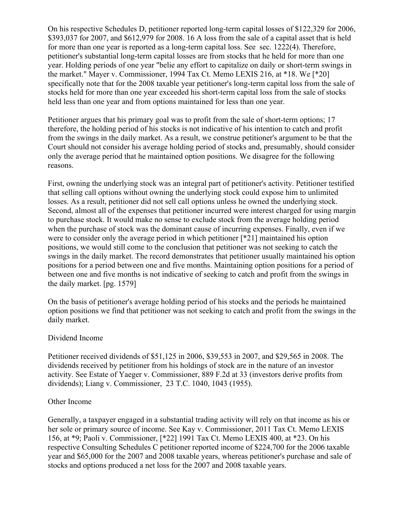On his respective Schedules D, petitioner reported long-term capital losses of \$122,329 for 2006, \$393,037 for 2007, and \$612,979 for 2008. 16 A loss from the sale of a capital asset that is held for more than one year is reported as a long-term capital loss. See sec. 1222(4). Therefore, petitioner's substantial long-term capital losses are from stocks that he held for more than one year. Holding periods of one year "belie any effort to capitalize on daily or short-term swings in the market." Mayer v. Commissioner, 1994 Tax Ct. Memo LEXIS 216, at \*18. We [\*20] specifically note that for the 2008 taxable year petitioner's long-term capital loss from the sale of stocks held for more than one year exceeded his short-term capital loss from the sale of stocks held less than one year and from options maintained for less than one year.

Petitioner argues that his primary goal was to profit from the sale of short-term options; 17 therefore, the holding period of his stocks is not indicative of his intention to catch and profit from the swings in the daily market. As a result, we construe petitioner's argument to be that the Court should not consider his average holding period of stocks and, presumably, should consider only the average period that he maintained option positions. We disagree for the following reasons.

First, owning the underlying stock was an integral part of petitioner's activity. Petitioner testified that selling call options without owning the underlying stock could expose him to unlimited losses. As a result, petitioner did not sell call options unless he owned the underlying stock. Second, almost all of the expenses that petitioner incurred were interest charged for using margin to purchase stock. It would make no sense to exclude stock from the average holding period when the purchase of stock was the dominant cause of incurring expenses. Finally, even if we were to consider only the average period in which petitioner [\*21] maintained his option positions, we would still come to the conclusion that petitioner was not seeking to catch the swings in the daily market. The record demonstrates that petitioner usually maintained his option positions for a period between one and five months. Maintaining option positions for a period of between one and five months is not indicative of seeking to catch and profit from the swings in the daily market. [pg. 1579]

On the basis of petitioner's average holding period of his stocks and the periods he maintained option positions we find that petitioner was not seeking to catch and profit from the swings in the daily market.

#### Dividend Income

Petitioner received dividends of \$51,125 in 2006, \$39,553 in 2007, and \$29,565 in 2008. The dividends received by petitioner from his holdings of stock are in the nature of an investor activity. See Estate of Yaeger v. Commissioner, 889 F.2d at 33 (investors derive profits from dividends); Liang v. Commissioner, 23 T.C. 1040, 1043 (1955).

#### Other Income

Generally, a taxpayer engaged in a substantial trading activity will rely on that income as his or her sole or primary source of income. See Kay v. Commissioner, 2011 Tax Ct. Memo LEXIS 156, at \*9; Paoli v. Commissioner, [\*22] 1991 Tax Ct. Memo LEXIS 400, at \*23. On his respective Consulting Schedules C petitioner reported income of \$224,700 for the 2006 taxable year and \$65,000 for the 2007 and 2008 taxable years, whereas petitioner's purchase and sale of stocks and options produced a net loss for the 2007 and 2008 taxable years.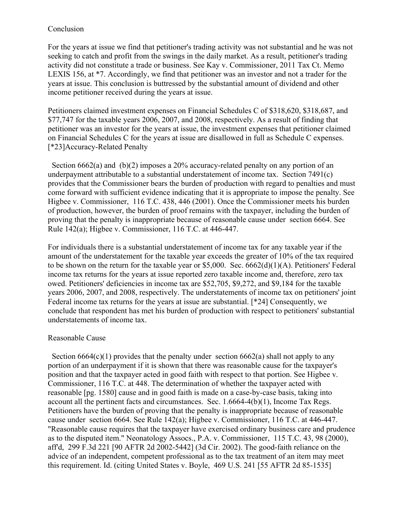### Conclusion

For the years at issue we find that petitioner's trading activity was not substantial and he was not seeking to catch and profit from the swings in the daily market. As a result, petitioner's trading activity did not constitute a trade or business. See Kay v. Commissioner, 2011 Tax Ct. Memo LEXIS 156, at \*7. Accordingly, we find that petitioner was an investor and not a trader for the years at issue. This conclusion is buttressed by the substantial amount of dividend and other income petitioner received during the years at issue.

Petitioners claimed investment expenses on Financial Schedules C of \$318,620, \$318,687, and \$77,747 for the taxable years 2006, 2007, and 2008, respectively. As a result of finding that petitioner was an investor for the years at issue, the investment expenses that petitioner claimed on Financial Schedules C for the years at issue are disallowed in full as Schedule C expenses. [\*23]Accuracy-Related Penalty

 Section 6662(a) and (b)(2) imposes a 20% accuracy-related penalty on any portion of an underpayment attributable to a substantial understatement of income tax. Section 7491(c) provides that the Commissioner bears the burden of production with regard to penalties and must come forward with sufficient evidence indicating that it is appropriate to impose the penalty. See Higbee v. Commissioner, 116 T.C. 438, 446 (2001). Once the Commissioner meets his burden of production, however, the burden of proof remains with the taxpayer, including the burden of proving that the penalty is inappropriate because of reasonable cause under section 6664. See Rule 142(a); Higbee v. Commissioner, 116 T.C. at 446-447.

For individuals there is a substantial understatement of income tax for any taxable year if the amount of the understatement for the taxable year exceeds the greater of 10% of the tax required to be shown on the return for the taxable year or \$5,000. Sec. 6662(d)(1)(A). Petitioners' Federal income tax returns for the years at issue reported zero taxable income and, therefore, zero tax owed. Petitioners' deficiencies in income tax are \$52,705, \$9,272, and \$9,184 for the taxable years 2006, 2007, and 2008, respectively. The understatements of income tax on petitioners' joint Federal income tax returns for the years at issue are substantial. [\*24] Consequently, we conclude that respondent has met his burden of production with respect to petitioners' substantial understatements of income tax.

#### Reasonable Cause

Section  $6664(c)(1)$  provides that the penalty under section  $6662(a)$  shall not apply to any portion of an underpayment if it is shown that there was reasonable cause for the taxpayer's position and that the taxpayer acted in good faith with respect to that portion. See Higbee v. Commissioner, 116 T.C. at 448. The determination of whether the taxpayer acted with reasonable [pg. 1580] cause and in good faith is made on a case-by-case basis, taking into account all the pertinent facts and circumstances. Sec. 1.6664-4(b)(1), Income Tax Regs. Petitioners have the burden of proving that the penalty is inappropriate because of reasonable cause under section 6664. See Rule 142(a); Higbee v. Commissioner, 116 T.C. at 446-447. "Reasonable cause requires that the taxpayer have exercised ordinary business care and prudence as to the disputed item." Neonatology Assocs., P.A. v. Commissioner, 115 T.C. 43, 98 (2000), aff'd, 299 F.3d 221 [90 AFTR 2d 2002-5442] (3d Cir. 2002). The good-faith reliance on the advice of an independent, competent professional as to the tax treatment of an item may meet this requirement. Id. (citing United States v. Boyle, 469 U.S. 241 [55 AFTR 2d 85-1535]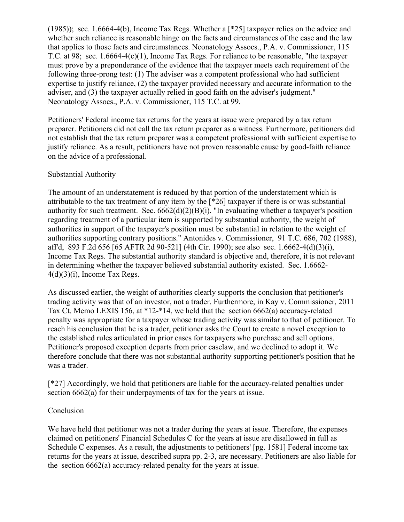(1985)); sec. 1.6664-4(b), Income Tax Regs. Whether a [\*25] taxpayer relies on the advice and whether such reliance is reasonable hinge on the facts and circumstances of the case and the law that applies to those facts and circumstances. Neonatology Assocs., P.A. v. Commissioner, 115 T.C. at 98; sec. 1.6664-4(c)(1), Income Tax Regs. For reliance to be reasonable, "the taxpayer must prove by a preponderance of the evidence that the taxpayer meets each requirement of the following three-prong test: (1) The adviser was a competent professional who had sufficient expertise to justify reliance, (2) the taxpayer provided necessary and accurate information to the adviser, and (3) the taxpayer actually relied in good faith on the adviser's judgment." Neonatology Assocs., P.A. v. Commissioner, 115 T.C. at 99.

Petitioners' Federal income tax returns for the years at issue were prepared by a tax return preparer. Petitioners did not call the tax return preparer as a witness. Furthermore, petitioners did not establish that the tax return preparer was a competent professional with sufficient expertise to justify reliance. As a result, petitioners have not proven reasonable cause by good-faith reliance on the advice of a professional.

### Substantial Authority

The amount of an understatement is reduced by that portion of the understatement which is attributable to the tax treatment of any item by the [\*26] taxpayer if there is or was substantial authority for such treatment. Sec.  $6662(d)(2)(B)(i)$ . "In evaluating whether a taxpayer's position regarding treatment of a particular item is supported by substantial authority, the weight of authorities in support of the taxpayer's position must be substantial in relation to the weight of authorities supporting contrary positions." Antonides v. Commissioner, 91 T.C. 686, 702 (1988), aff'd, 893 F.2d 656 [65 AFTR 2d 90-521] (4th Cir. 1990); see also sec. 1.6662-4(d)(3)(i), Income Tax Regs. The substantial authority standard is objective and, therefore, it is not relevant in determining whether the taxpayer believed substantial authority existed. Sec. 1.6662-  $4(d)(3)(i)$ , Income Tax Regs.

As discussed earlier, the weight of authorities clearly supports the conclusion that petitioner's trading activity was that of an investor, not a trader. Furthermore, in Kay v. Commissioner, 2011 Tax Ct. Memo LEXIS 156, at \*12-\*14, we held that the section 6662(a) accuracy-related penalty was appropriate for a taxpayer whose trading activity was similar to that of petitioner. To reach his conclusion that he is a trader, petitioner asks the Court to create a novel exception to the established rules articulated in prior cases for taxpayers who purchase and sell options. Petitioner's proposed exception departs from prior caselaw, and we declined to adopt it. We therefore conclude that there was not substantial authority supporting petitioner's position that he was a trader.

[\*27] Accordingly, we hold that petitioners are liable for the accuracy-related penalties under section 6662(a) for their underpayments of tax for the years at issue.

# Conclusion

We have held that petitioner was not a trader during the years at issue. Therefore, the expenses claimed on petitioners' Financial Schedules C for the years at issue are disallowed in full as Schedule C expenses. As a result, the adjustments to petitioners' [pg. 1581] Federal income tax returns for the years at issue, described supra pp. 2-3, are necessary. Petitioners are also liable for the section 6662(a) accuracy-related penalty for the years at issue.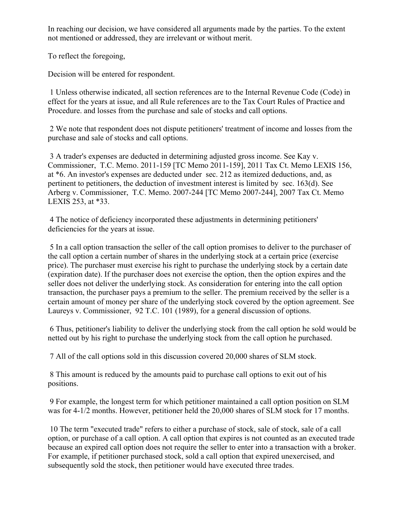In reaching our decision, we have considered all arguments made by the parties. To the extent not mentioned or addressed, they are irrelevant or without merit.

To reflect the foregoing,

Decision will be entered for respondent.

1 Unless otherwise indicated, all section references are to the Internal Revenue Code (Code) in effect for the years at issue, and all Rule references are to the Tax Court Rules of Practice and Procedure. and losses from the purchase and sale of stocks and call options.

2 We note that respondent does not dispute petitioners' treatment of income and losses from the purchase and sale of stocks and call options.

3 A trader's expenses are deducted in determining adjusted gross income. See Kay v. Commissioner, T.C. Memo. 2011-159 [TC Memo 2011-159], 2011 Tax Ct. Memo LEXIS 156, at \*6. An investor's expenses are deducted under sec. 212 as itemized deductions, and, as pertinent to petitioners, the deduction of investment interest is limited by sec. 163(d). See Arberg v. Commissioner, T.C. Memo. 2007-244 [TC Memo 2007-244], 2007 Tax Ct. Memo LEXIS 253, at \*33.

4 The notice of deficiency incorporated these adjustments in determining petitioners' deficiencies for the years at issue.

5 In a call option transaction the seller of the call option promises to deliver to the purchaser of the call option a certain number of shares in the underlying stock at a certain price (exercise price). The purchaser must exercise his right to purchase the underlying stock by a certain date (expiration date). If the purchaser does not exercise the option, then the option expires and the seller does not deliver the underlying stock. As consideration for entering into the call option transaction, the purchaser pays a premium to the seller. The premium received by the seller is a certain amount of money per share of the underlying stock covered by the option agreement. See Laureys v. Commissioner, 92 T.C. 101 (1989), for a general discussion of options.

6 Thus, petitioner's liability to deliver the underlying stock from the call option he sold would be netted out by his right to purchase the underlying stock from the call option he purchased.

7 All of the call options sold in this discussion covered 20,000 shares of SLM stock.

8 This amount is reduced by the amounts paid to purchase call options to exit out of his positions.

9 For example, the longest term for which petitioner maintained a call option position on SLM was for 4-1/2 months. However, petitioner held the 20,000 shares of SLM stock for 17 months.

10 The term "executed trade" refers to either a purchase of stock, sale of stock, sale of a call option, or purchase of a call option. A call option that expires is not counted as an executed trade because an expired call option does not require the seller to enter into a transaction with a broker. For example, if petitioner purchased stock, sold a call option that expired unexercised, and subsequently sold the stock, then petitioner would have executed three trades.